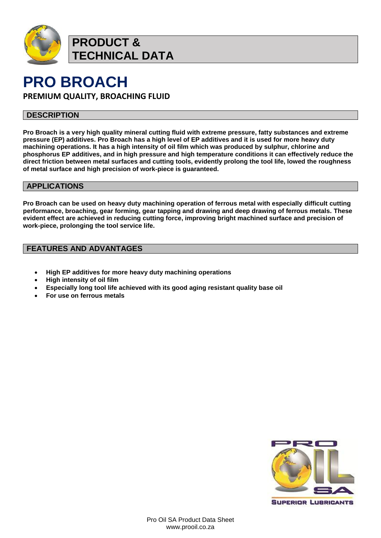

**PRODUCT & TECHNICAL DATA**

# **PRO BROACH**

**PREMIUM QUALITY, BROACHING FLUID**

### **DESCRIPTION**

**Pro Broach is a very high quality mineral cutting fluid with extreme pressure, fatty substances and extreme pressure (EP) additives. Pro Broach has a high level of EP additives and it is used for more heavy duty machining operations. It has a high intensity of oil film which was produced by sulphur, chlorine and phosphorus EP additives, and in high pressure and high temperature conditions it can effectively reduce the direct friction between metal surfaces and cutting tools, evidently prolong the tool life, lowed the roughness of metal surface and high precision of work-piece is guaranteed.**

### **APPLICATIONS**

**Pro Broach can be used on heavy duty machining operation of ferrous metal with especially difficult cutting performance, broaching, gear forming, gear tapping and drawing and deep drawing of ferrous metals. These evident effect are achieved in reducing cutting force, improving bright machined surface and precision of work-piece, prolonging the tool service life.**

### **FEATURES AND ADVANTAGES**

- **High EP additives for more heavy duty machining operations**
- **High intensity of oil film**
- **Especially long tool life achieved with its good aging resistant quality base oil**
- **For use on ferrous metals**